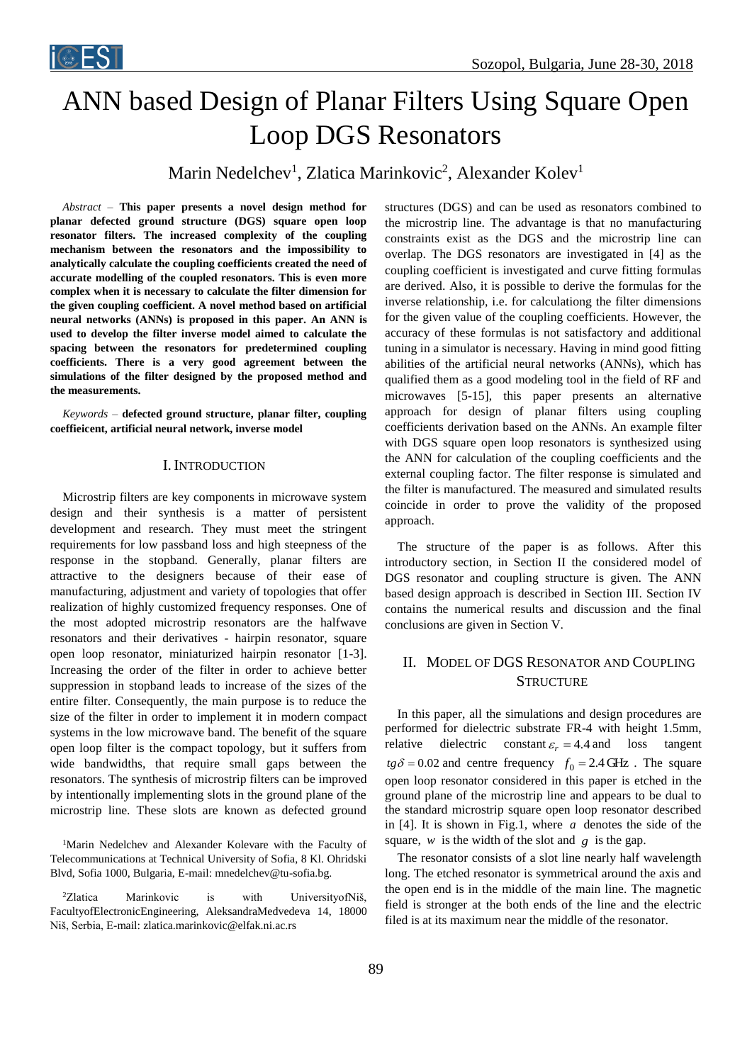

# ANN based Design of Planar Filters Using Square Open Loop DGS Resonators

Marin Nedelchev<sup>1</sup>, Zlatica Marinkovic<sup>2</sup>, Alexander Kolev<sup>1</sup>

*Abstract –* **This paper presents a novel design method for planar defected ground structure (DGS) square open loop resonator filters. The increased complexity of the coupling mechanism between the resonators and the impossibility to analytically calculate the coupling coefficients created the need of accurate modelling of the coupled resonators. This is even more complex when it is necessary to calculate the filter dimension for the given coupling coefficient. A novel method based on artificial neural networks (ANNs) is proposed in this paper. An ANN is used to develop the filter inverse model aimed to calculate the spacing between the resonators for predetermined coupling coefficients. There is a very good agreement between the simulations of the filter designed by the proposed method and the measurements.** 

*Keywords –* **defected ground structure, planar filter, coupling coeffieicent, artificial neural network, inverse model**

### I.INTRODUCTION

Microstrip filters are key components in microwave system design and their synthesis is a matter of persistent development and research. They must meet the stringent requirements for low passband loss and high steepness of the response in the stopband. Generally, planar filters are attractive to the designers because of their ease of manufacturing, adjustment and variety of topologies that offer realization of highly customized frequency responses. One of the most adopted microstrip resonators are the halfwave resonators and their derivatives - hairpin resonator, square open loop resonator, miniaturized hairpin resonator [1-3]. Increasing the order of the filter in order to achieve better suppression in stopband leads to increase of the sizes of the entire filter. Consequently, the main purpose is to reduce the size of the filter in order to implement it in modern compact systems in the low microwave band. The benefit of the square open loop filter is the compact topology, but it suffers from wide bandwidths, that require small gaps between the resonators. The synthesis of microstrip filters can be improved by intentionally implementing slots in the ground plane of the microstrip line. These slots are known as defected ground

<sup>1</sup>Marin Nedelchev and Alexander Kolevare with the Faculty of Telecommunications at Technical University of Sofia, 8 Kl. Ohridski Blvd, Sofia 1000, Bulgaria, E-mail: mnedelchev@tu-sofia.bg.

<sup>2</sup>Zlatica Marinkovic is with UniversityofNiš, FacultyofElectronicEngineering, AleksandraMedvedeva 14, 18000 Niš, Serbia, E-mail: zlatica.marinkovic@elfak.ni.ac.rs

structures (DGS) and can be used as resonators combined to the microstrip line. The advantage is that no manufacturing constraints exist as the DGS and the microstrip line can overlap. The DGS resonators are investigated in [4] as the coupling coefficient is investigated and curve fitting formulas are derived. Also, it is possible to derive the formulas for the inverse relationship, i.e. for calculationg the filter dimensions for the given value of the coupling coefficients. However, the accuracy of these formulas is not satisfactory and additional tuning in a simulator is necessary. Having in mind good fitting abilities of the artificial neural networks (ANNs), which has qualified them as a good modeling tool in the field of RF and microwaves [5-15], this paper presents an alternative approach for design of planar filters using coupling coefficients derivation based on the ANNs. An example filter with DGS square open loop resonators is synthesized using the ANN for calculation of the coupling coefficients and the external coupling factor. The filter response is simulated and the filter is manufactured. The measured and simulated results coincide in order to prove the validity of the proposed approach.

The structure of the paper is as follows. After this introductory section, in Section II the considered model of DGS resonator and coupling structure is given. The ANN based design approach is described in Section III. Section IV contains the numerical results and discussion and the final conclusions are given in Section V.

## II. MODEL OF DGS RESONATOR AND COUPLING **STRUCTURE**

In this paper, all the simulations and design procedures are performed for dielectric substrate FR-4 with height 1.5mm, relative dielectric  $\varepsilon_r = 4.4$  and loss tangent  $tg\delta = 0.02$  and centre frequency  $f_0 = 2.4$  GHz. The square open loop resonator considered in this paper is etched in the ground plane of the microstrip line and appears to be dual to the standard microstrip square open loop resonator described in [4]. It is shown in Fig.1, where *a* denotes the side of the square,  $w$  is the width of the slot and  $g$  is the gap.

The resonator consists of a slot line nearly half wavelength long. The etched resonator is symmetrical around the axis and the open end is in the middle of the main line. The magnetic field is stronger at the both ends of the line and the electric filed is at its maximum near the middle of the resonator.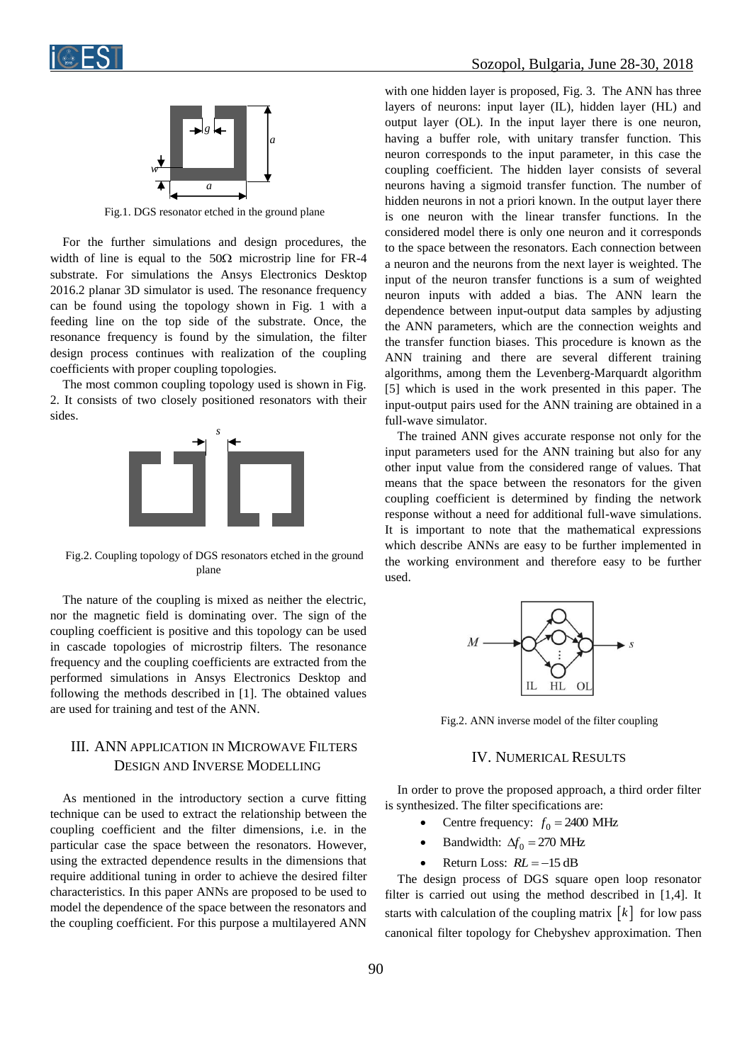



Fig.1. DGS resonator etched in the ground plane

For the further simulations and design procedures, the width of line is equal to the  $50\Omega$  microstrip line for FR-4 substrate. For simulations the Ansys Electronics Desktop 2016.2 planar 3D simulator is used. The resonance frequency can be found using the topology shown in Fig. 1 with a feeding line on the top side of the substrate. Once, the resonance frequency is found by the simulation, the filter design process continues with realization of the coupling coefficients with proper coupling topologies.

The most common coupling topology used is shown in Fig. 2. It consists of two closely positioned resonators with their sides.



Fig.2. Coupling topology of DGS resonators etched in the ground plane

The nature of the coupling is mixed as neither the electric, nor the magnetic field is dominating over. The sign of the coupling coefficient is positive and this topology can be used in cascade topologies of microstrip filters. The resonance frequency and the coupling coefficients are extracted from the performed simulations in Ansys Electronics Desktop and following the methods described in [1]. The obtained values are used for training and test of the ANN.

# III. ANN APPLICATION IN MICROWAVE FILTERS DESIGN AND INVERSE MODELLING

As mentioned in the introductory section a curve fitting technique can be used to extract the relationship between the coupling coefficient and the filter dimensions, i.e. in the particular case the space between the resonators. However, using the extracted dependence results in the dimensions that require additional tuning in order to achieve the desired filter characteristics. In this paper ANNs are proposed to be used to model the dependence of the space between the resonators and the coupling coefficient. For this purpose a multilayered ANN

with one hidden layer is proposed, Fig. 3. The ANN has three layers of neurons: input layer (IL), hidden layer (HL) and output layer (OL). In the input layer there is one neuron, having a buffer role, with unitary transfer function. This neuron corresponds to the input parameter, in this case the coupling coefficient. The hidden layer consists of several neurons having a sigmoid transfer function. The number of hidden neurons in not a priori known. In the output layer there is one neuron with the linear transfer functions. In the considered model there is only one neuron and it corresponds to the space between the resonators. Each connection between a neuron and the neurons from the next layer is weighted. The input of the neuron transfer functions is a sum of weighted neuron inputs with added a bias. The ANN learn the dependence between input-output data samples by adjusting the ANN parameters, which are the connection weights and the transfer function biases. This procedure is known as the ANN training and there are several different training algorithms, among them the Levenberg-Marquardt algorithm [5] which is used in the work presented in this paper. The input-output pairs used for the ANN training are obtained in a full-wave simulator.

The trained ANN gives accurate response not only for the input parameters used for the ANN training but also for any other input value from the considered range of values. That means that the space between the resonators for the given coupling coefficient is determined by finding the network response without a need for additional full-wave simulations. It is important to note that the mathematical expressions which describe ANNs are easy to be further implemented in the working environment and therefore easy to be further used.



Fig.2. ANN inverse model of the filter coupling

#### IV. NUMERICAL RESULTS

In order to prove the proposed approach, a third order filter is synthesized. The filter specifications are:

- Centre frequency:  $f_0 = 2400 \text{ MHz}$
- Bandwidth:  $\Delta f_0 = 270 \text{ MHz}$
- **•** Return Loss:  $RL = -15$  dB

The design process of DGS square open loop resonator filter is carried out using the method described in [1,4]. It starts with calculation of the coupling matrix  $\begin{bmatrix} k \end{bmatrix}$  for low pass canonical filter topology for Chebyshev approximation. Then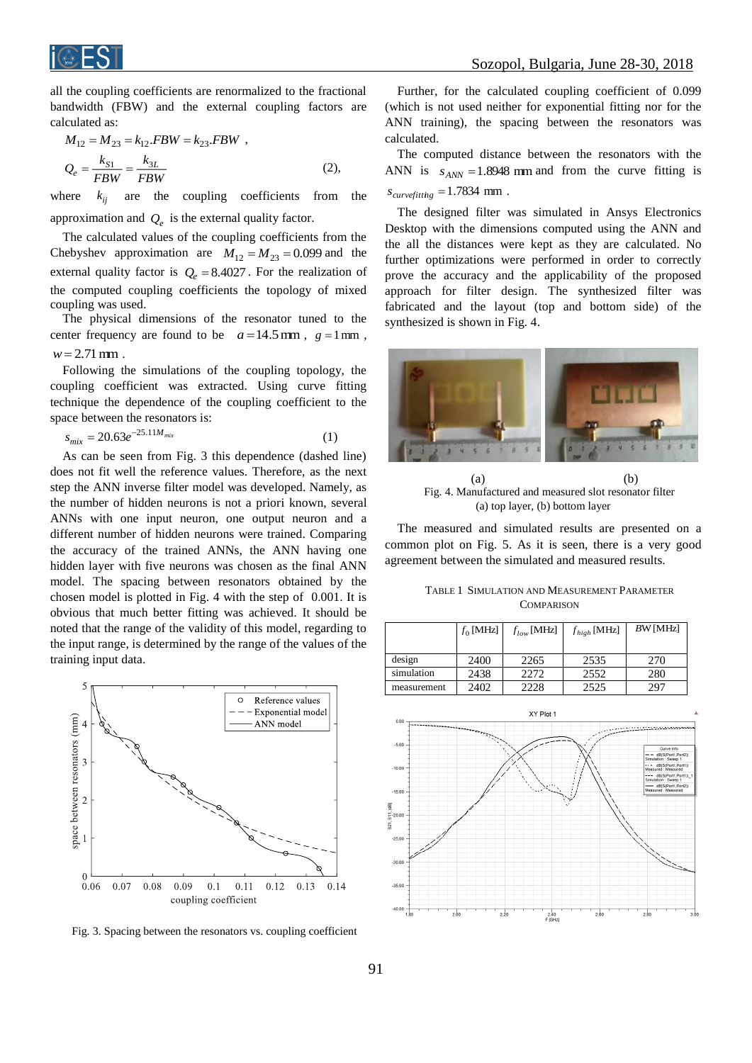

all the coupling coefficients are renormalized to the fractional bandwidth (FBW) and the external coupling factors are calculated as:

$$
M_{12} = M_{23} = k_{12}.FBW = k_{23}.FBW ,
$$
  
\n
$$
Q_e = \frac{k_{S1}}{FBW} = \frac{k_{3L}}{FBW}
$$
 (2),

where  $k_{ii}$ are the coupling coefficients from the approximation and  $Q_e$  is the external quality factor.

The calculated values of the coupling coefficients from the Chebyshev approximation are  $M_{12} = M_{23} = 0.099$  and the external quality factor is  $Q_e = 8.4027$ . For the realization of the computed coupling coefficients the topology of mixed coupling was used.

The physical dimensions of the resonator tuned to the center frequency are found to be  $a = 14.5$  mm,  $g = 1$  mm,  $w = 2.71$  mm.

Following the simulations of the coupling topology, the coupling coefficient was extracted. Using curve fitting technique the dependence of the coupling coefficient to the space between the resonators is:

$$
s_{mix} = 20.63e^{-25.11M_{mix}} \tag{1}
$$

As can be seen from Fig. 3 this dependence (dashed line) does not fit well the reference values. Therefore, as the next step the ANN inverse filter model was developed. Namely, as the number of hidden neurons is not a priori known, several ANNs with one input neuron, one output neuron and a different number of hidden neurons were trained. Comparing the accuracy of the trained ANNs, the ANN having one hidden layer with five neurons was chosen as the final ANN model. The spacing between resonators obtained by the chosen model is plotted in Fig. 4 with the step of 0.001. It is obvious that much better fitting was achieved. It should be noted that the range of the validity of this model, regarding to the input range, is determined by the range of the values of the training input data.



Fig. 3. Spacing between the resonators vs. coupling coefficient

Further, for the calculated coupling coefficient of 0.099 (which is not used neither for exponential fitting nor for the ANN training), the spacing between the resonators was calculated.

The computed distance between the resonators with the ANN is  $s_{ANN} = 1.8948$  mm and from the curve fitting is  $s_{curvefitting} = 1.7834$  mm.

The designed filter was simulated in Ansys Electronics Desktop with the dimensions computed using the ANN and the all the distances were kept as they are calculated. No further optimizations were performed in order to correctly prove the accuracy and the applicability of the proposed approach for filter design. The synthesized filter was fabricated and the layout (top and bottom side) of the synthesized is shown in Fig. 4.



(a) (b) Fig. 4. Manufactured and measured slot resonator filter (a) top layer, (b) bottom layer

The measured and simulated results are presented on a common plot on Fig. 5. As it is seen, there is a very good agreement between the simulated and measured results.

|                   | <b>TABLE 1 SIMULATION AND MEASUREMENT PARAMETER</b> |  |  |  |
|-------------------|-----------------------------------------------------|--|--|--|
| <b>COMPARISON</b> |                                                     |  |  |  |

|             | $f_0$ [MHz] | $f_{low}$ [MHz] | $f_{high}$ [MHz] | BW [MHz] |
|-------------|-------------|-----------------|------------------|----------|
|             |             |                 |                  |          |
| design      | 2400        | 2265            | 2535             | 270      |
| simulation  | 2438        | 2272            | 2552             | 280      |
| measurement | 2402        | 2228            | 2525             | 297      |